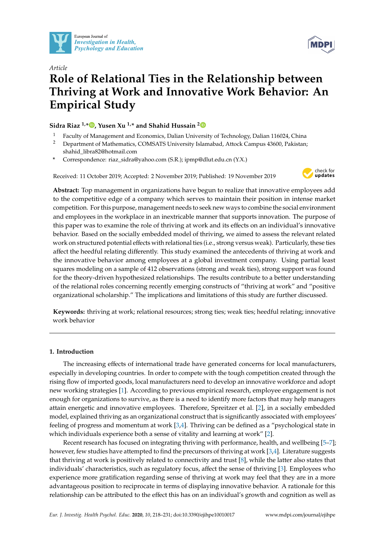



# *Article* **Role of Relational Ties in the Relationship between Thriving at Work and Innovative Work Behavior: An Empirical Study**

# **Sidra Riaz 1,\* [,](https://orcid.org/0000-0003-3749-5054) Yusen Xu 1,\* and Shahid Hussain [2](https://orcid.org/0000-0003-2206-1739)**

- <sup>1</sup> Faculty of Management and Economics, Dalian University of Technology, Dalian 116024, China
- <sup>2</sup> Department of Mathematics, COMSATS University Islamabad, Attock Campus 43600, Pakistan; shahid\_libra82@hotmail.com
- **\*** Correspondence: riaz\_sidra@yahoo.com (S.R.); ipmp@dlut.edu.cn (Y.X.)

Received: 11 October 2019; Accepted: 2 November 2019; Published: 19 November 2019



**Abstract:** Top management in organizations have begun to realize that innovative employees add to the competitive edge of a company which serves to maintain their position in intense market competition. For this purpose, management needs to seek new ways to combine the social environment and employees in the workplace in an inextricable manner that supports innovation. The purpose of this paper was to examine the role of thriving at work and its effects on an individual's innovative behavior. Based on the socially embedded model of thriving, we aimed to assess the relevant related work on structured potential effects with relational ties (i.e., strong versus weak). Particularly, these ties affect the heedful relating differently. This study examined the antecedents of thriving at work and the innovative behavior among employees at a global investment company. Using partial least squares modeling on a sample of 412 observations (strong and weak ties), strong support was found for the theory-driven hypothesized relationships. The results contribute to a better understanding of the relational roles concerning recently emerging constructs of "thriving at work" and "positive organizational scholarship." The implications and limitations of this study are further discussed.

**Keywords:** thriving at work; relational resources; strong ties; weak ties; heedful relating; innovative work behavior

# **1. Introduction**

The increasing effects of international trade have generated concerns for local manufacturers, especially in developing countries. In order to compete with the tough competition created through the rising flow of imported goods, local manufacturers need to develop an innovative workforce and adopt new working strategies [\[1\]](#page-11-0). According to previous empirical research, employee engagement is not enough for organizations to survive, as there is a need to identify more factors that may help managers attain energetic and innovative employees. Therefore, Spreitzer et al. [\[2\]](#page-11-1), in a socially embedded model, explained thriving as an organizational construct that is significantly associated with employees' feeling of progress and momentum at work [\[3](#page-11-2)[,4\]](#page-11-3). Thriving can be defined as a "psychological state in which individuals experience both a sense of vitality and learning at work" [\[2\]](#page-11-1).

Recent research has focused on integrating thriving with performance, health, and wellbeing [\[5](#page-11-4)[–7\]](#page-11-5); however, few studies have attempted to find the precursors of thriving at work [\[3,](#page-11-2)[4\]](#page-11-3). Literature suggests that thriving at work is positively related to connectivity and trust [\[8\]](#page-11-6), while the latter also states that individuals' characteristics, such as regulatory focus, affect the sense of thriving [\[3\]](#page-11-2). Employees who experience more gratification regarding sense of thriving at work may feel that they are in a more advantageous position to reciprocate in terms of displaying innovative behavior. A rationale for this relationship can be attributed to the effect this has on an individual's growth and cognition as well as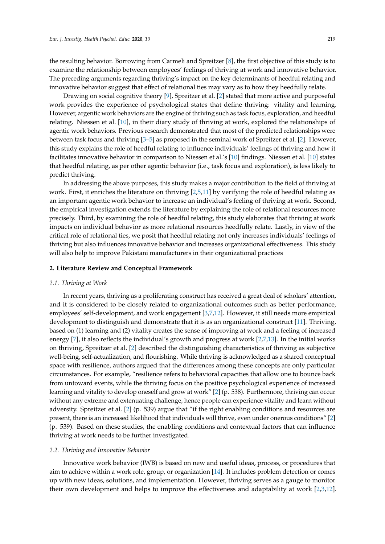the resulting behavior. Borrowing from Carmeli and Spreitzer [\[8\]](#page-11-6), the first objective of this study is to examine the relationship between employees' feelings of thriving at work and innovative behavior. The preceding arguments regarding thriving's impact on the key determinants of heedful relating and innovative behavior suggest that effect of relational ties may vary as to how they heedfully relate.

Drawing on social cognitive theory [\[9\]](#page-11-7), Spreitzer et al. [\[2\]](#page-11-1) stated that more active and purposeful work provides the experience of psychological states that define thriving: vitality and learning. However, argentic work behaviors are the engine of thriving such as task focus, exploration, and heedful relating. Niessen et al. [\[10\]](#page-11-8), in their diary study of thriving at work, explored the relationships of agentic work behaviors. Previous research demonstrated that most of the predicted relationships were between task focus and thriving [\[3–](#page-11-2)[5\]](#page-11-4) as proposed in the seminal work of Spreitzer et al. [\[2\]](#page-11-1). However, this study explains the role of heedful relating to influence individuals' feelings of thriving and how it facilitates innovative behavior in comparison to Niessen et al.'s [\[10\]](#page-11-8) findings. Niessen et al. [\[10\]](#page-11-8) states that heedful relating, as per other agentic behavior (i.e., task focus and exploration), is less likely to predict thriving.

In addressing the above purposes, this study makes a major contribution to the field of thriving at work. First, it enriches the literature on thriving [\[2,](#page-11-1)[5,](#page-11-4)[11\]](#page-11-9) by verifying the role of heedful relating as an important agentic work behavior to increase an individual's feeling of thriving at work. Second, the empirical investigation extends the literature by explaining the role of relational resources more precisely. Third, by examining the role of heedful relating, this study elaborates that thriving at work impacts on individual behavior as more relational resources heedfully relate. Lastly, in view of the critical role of relational ties, we posit that heedful relating not only increases individuals' feelings of thriving but also influences innovative behavior and increases organizational effectiveness. This study will also help to improve Pakistani manufacturers in their organizational practices

#### **2. Literature Review and Conceptual Framework**

#### *2.1. Thriving at Work*

In recent years, thriving as a proliferating construct has received a great deal of scholars' attention, and it is considered to be closely related to organizational outcomes such as better performance, employees' self-development, and work engagement [\[3](#page-11-2)[,7](#page-11-5)[,12\]](#page-11-10). However, it still needs more empirical development to distinguish and demonstrate that it is as an organizational construct [\[11\]](#page-11-9). Thriving, based on (1) learning and (2) vitality creates the sense of improving at work and a feeling of increased energy [\[7\]](#page-11-5), it also reflects the individual's growth and progress at work [\[2](#page-11-1)[,7](#page-11-5)[,13\]](#page-11-11). In the initial works on thriving, Spreitzer et al. [\[2\]](#page-11-1) described the distinguishing characteristics of thriving as subjective well-being, self-actualization, and flourishing. While thriving is acknowledged as a shared conceptual space with resilience, authors argued that the differences among these concepts are only particular circumstances. For example, "resilience refers to behavioral capacities that allow one to bounce back from untoward events, while the thriving focus on the positive psychological experience of increased learning and vitality to develop oneself and grow at work" [\[2\]](#page-11-1) (p. 538). Furthermore, thriving can occur without any extreme and extenuating challenge, hence people can experience vitality and learn without adversity. Spreitzer et al. [\[2\]](#page-11-1) (p. 539) argue that "if the right enabling conditions and resources are present, there is an increased likelihood that individuals will thrive, even under onerous conditions" [\[2\]](#page-11-1) (p. 539). Based on these studies, the enabling conditions and contextual factors that can influence thriving at work needs to be further investigated.

#### *2.2. Thriving and Innovative Behavior*

Innovative work behavior (IWB) is based on new and useful ideas, process, or procedures that aim to achieve within a work role, group, or organization [\[14\]](#page-11-12). It includes problem detection or comes up with new ideas, solutions, and implementation. However, thriving serves as a gauge to monitor their own development and helps to improve the effectiveness and adaptability at work [\[2,](#page-11-1)[3,](#page-11-2)[12\]](#page-11-10).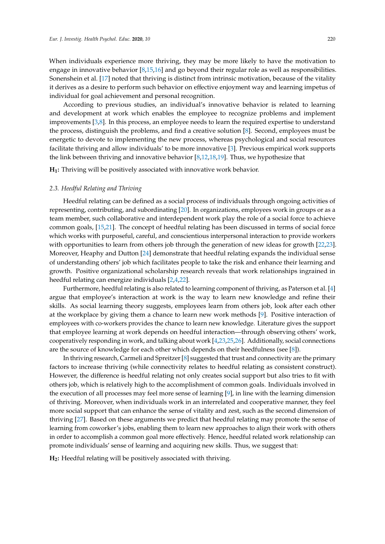When individuals experience more thriving, they may be more likely to have the motivation to engage in innovative behavior  $[8,15,16]$  $[8,15,16]$  $[8,15,16]$  and go beyond their regular role as well as responsibilities. Sonenshein et al. [\[17\]](#page-11-15) noted that thriving is distinct from intrinsic motivation, because of the vitality it derives as a desire to perform such behavior on effective enjoyment way and learning impetus of individual for goal achievement and personal recognition.

According to previous studies, an individual's innovative behavior is related to learning and development at work which enables the employee to recognize problems and implement improvements [\[3,](#page-11-2)[8\]](#page-11-6). In this process, an employee needs to learn the required expertise to understand the process, distinguish the problems, and find a creative solution [\[8\]](#page-11-6). Second, employees must be energetic to devote to implementing the new process, whereas psychological and social resources facilitate thriving and allow individuals' to be more innovative [\[3\]](#page-11-2). Previous empirical work supports the link between thriving and innovative behavior [\[8,](#page-11-6)[12,](#page-11-10)[18](#page-11-16)[,19\]](#page-12-0). Thus, we hypothesize that

**H1:** Thriving will be positively associated with innovative work behavior.

#### *2.3. Heedful Relating and Thriving*

Heedful relating can be defined as a social process of individuals through ongoing activities of representing, contributing, and subordinating [\[20\]](#page-12-1). In organizations, employees work in groups or as a team member, such collaborative and interdependent work play the role of a social force to achieve common goals, [\[15,](#page-11-13)[21\]](#page-12-2). The concept of heedful relating has been discussed in terms of social force which works with purposeful, careful, and conscientious interpersonal interaction to provide workers with opportunities to learn from others job through the generation of new ideas for growth [\[22,](#page-12-3)[23\]](#page-12-4). Moreover, Heaphy and Dutton [\[24\]](#page-12-5) demonstrate that heedful relating expands the individual sense of understanding others' job which facilitates people to take the risk and enhance their learning and growth. Positive organizational scholarship research reveals that work relationships ingrained in heedful relating can energize individuals [\[2,](#page-11-1)[4,](#page-11-3)[22\]](#page-12-3).

Furthermore, heedful relating is also related to learning component of thriving, as Paterson et al. [\[4\]](#page-11-3) argue that employee's interaction at work is the way to learn new knowledge and refine their skills. As social learning theory suggests, employees learn from others job, look after each other at the workplace by giving them a chance to learn new work methods [\[9\]](#page-11-7). Positive interaction of employees with co-workers provides the chance to learn new knowledge. Literature gives the support that employee learning at work depends on heedful interaction—through observing others' work, cooperatively responding in work, and talking about work [\[4,](#page-11-3)[23,](#page-12-4)[25,](#page-12-6)[26\]](#page-12-7). Additionally, social connections are the source of knowledge for each other which depends on their heedfulness (see [\[8\]](#page-11-6)).

In thriving research, Carmeli and Spreitzer [\[8\]](#page-11-6) suggested that trust and connectivity are the primary factors to increase thriving (while connectivity relates to heedful relating as consistent construct). However, the difference is heedful relating not only creates social support but also tries to fit with others job, which is relatively high to the accomplishment of common goals. Individuals involved in the execution of all processes may feel more sense of learning [\[9\]](#page-11-7), in line with the learning dimension of thriving. Moreover, when individuals work in an interrelated and cooperative manner, they feel more social support that can enhance the sense of vitality and zest, such as the second dimension of thriving [\[27\]](#page-12-8). Based on these arguments we predict that heedful relating may promote the sense of learning from coworker's jobs, enabling them to learn new approaches to align their work with others in order to accomplish a common goal more effectively. Hence, heedful related work relationship can promote individuals' sense of learning and acquiring new skills. Thus, we suggest that:

**H2:** Heedful relating will be positively associated with thriving.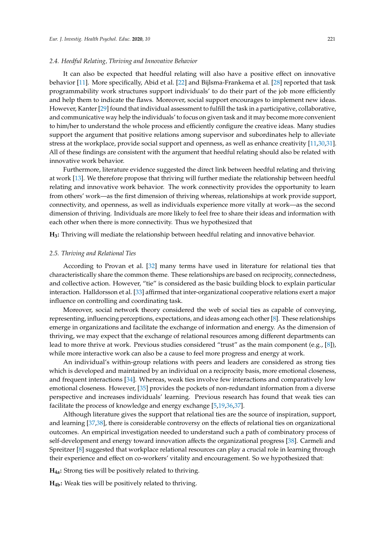#### *2.4. Heedful Relating, Thriving and Innovative Behavior*

It can also be expected that heedful relating will also have a positive effect on innovative behavior [\[11\]](#page-11-9). More specifically, Abid et al. [\[22\]](#page-12-3) and Bijlsma-Frankema et al. [\[28\]](#page-12-9) reported that task programmability work structures support individuals' to do their part of the job more efficiently and help them to indicate the flaws. Moreover, social support encourages to implement new ideas. However, Kanter [\[29\]](#page-12-10) found that individual assessment to fulfill the task in a participative, collaborative, and communicative way help the individuals' to focus on given task and it may become more convenient to him/her to understand the whole process and efficiently configure the creative ideas. Many studies support the argument that positive relations among supervisor and subordinates help to alleviate stress at the workplace, provide social support and openness, as well as enhance creativity [\[11](#page-11-9)[,30,](#page-12-11)[31\]](#page-12-12). All of these findings are consistent with the argument that heedful relating should also be related with innovative work behavior.

Furthermore, literature evidence suggested the direct link between heedful relating and thriving at work [\[13\]](#page-11-11). We therefore propose that thriving will further mediate the relationship between heedful relating and innovative work behavior. The work connectivity provides the opportunity to learn from others' work—as the first dimension of thriving whereas, relationships at work provide support, connectivity, and openness, as well as individuals experience more vitally at work—as the second dimension of thriving. Individuals are more likely to feel free to share their ideas and information with each other when there is more connectivity. Thus we hypothesized that

**H3:** Thriving will mediate the relationship between heedful relating and innovative behavior.

#### *2.5. Thriving and Relational Ties*

According to Provan et al. [\[32\]](#page-12-13) many terms have used in literature for relational ties that characteristically share the common theme. These relationships are based on reciprocity, connectedness, and collective action. However, "tie" is considered as the basic building block to explain particular interaction. Halldorsson et al. [\[33\]](#page-12-14) affirmed that inter-organizational cooperative relations exert a major influence on controlling and coordinating task.

Moreover, social network theory considered the web of social ties as capable of conveying, representing, influencing perceptions, expectations, and ideas among each other [\[8\]](#page-11-6). These relationships emerge in organizations and facilitate the exchange of information and energy. As the dimension of thriving, we may expect that the exchange of relational resources among different departments can lead to more thrive at work. Previous studies considered "trust" as the main component (e.g., [\[8\]](#page-11-6)), while more interactive work can also be a cause to feel more progress and energy at work.

An individual's within-group relations with peers and leaders are considered as strong ties which is developed and maintained by an individual on a reciprocity basis, more emotional closeness, and frequent interactions [\[34\]](#page-12-15). Whereas, weak ties involve few interactions and comparatively low emotional closeness. However, [\[35\]](#page-12-16) provides the pockets of non-redundant information from a diverse perspective and increases individuals' learning. Previous research has found that weak ties can facilitate the process of knowledge and energy exchange [\[5,](#page-11-4)[19,](#page-12-0)[36,](#page-12-17)[37\]](#page-12-18).

Although literature gives the support that relational ties are the source of inspiration, support, and learning [\[37,](#page-12-18)[38\]](#page-12-19), there is considerable controversy on the effects of relational ties on organizational outcomes. An empirical investigation needed to understand such a path of combinatory process of self-development and energy toward innovation affects the organizational progress [\[38\]](#page-12-19). Carmeli and Spreitzer [\[8\]](#page-11-6) suggested that workplace relational resources can play a crucial role in learning through their experience and effect on co-workers' vitality and encouragement. So we hypothesized that:

**H4a:** Strong ties will be positively related to thriving.

**H4b:** Weak ties will be positively related to thriving.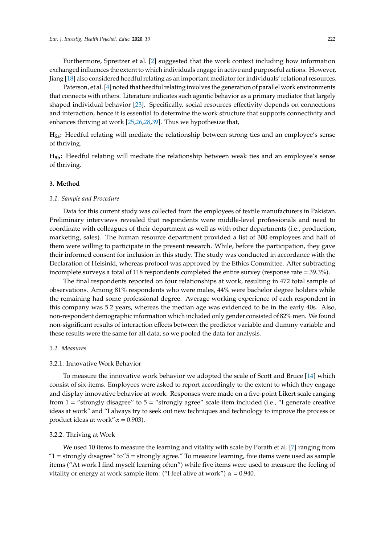Furthermore, Spreitzer et al. [\[2\]](#page-11-1) suggested that the work context including how information exchanged influences the extent to which individuals engage in active and purposeful actions. However, Jiang [\[18\]](#page-11-16) also considered heedful relating as an important mediator for individuals' relational resources.

Paterson, et al. [\[4\]](#page-11-3) noted that heedful relating involves the generation of parallel work environments that connects with others. Literature indicates such agentic behavior as a primary mediator that largely shaped individual behavior [\[23\]](#page-12-4). Specifically, social resources effectivity depends on connections and interaction, hence it is essential to determine the work structure that supports connectivity and enhances thriving at work [\[25,](#page-12-6)[26](#page-12-7)[,28](#page-12-9)[,39\]](#page-12-20). Thus we hypothesize that,

**H5a:** Heedful relating will mediate the relationship between strong ties and an employee's sense of thriving.

**H5b:** Heedful relating will mediate the relationship between weak ties and an employee's sense of thriving.

#### **3. Method**

#### *3.1. Sample and Procedure*

Data for this current study was collected from the employees of textile manufacturers in Pakistan. Preliminary interviews revealed that respondents were middle-level professionals and need to coordinate with colleagues of their department as well as with other departments (i.e., production, marketing, sales). The human resource department provided a list of 300 employees and half of them were willing to participate in the present research. While, before the participation, they gave their informed consent for inclusion in this study. The study was conducted in accordance with the Declaration of Helsinki, whereas protocol was approved by the Ethics Committee. After subtracting incomplete surveys a total of 118 respondents completed the entire survey (response rate = 39.3%).

The final respondents reported on four relationships at work, resulting in 472 total sample of observations. Among 81% respondents who were males, 44% were bachelor degree holders while the remaining had some professional degree. Average working experience of each respondent in this company was 5.2 years, whereas the median age was evidenced to be in the early 40s. Also, non-respondent demographic information which included only gender consisted of 82% men. We found non-significant results of interaction effects between the predictor variable and dummy variable and these results were the same for all data, so we pooled the data for analysis.

#### *3.2. Measures*

#### 3.2.1. Innovative Work Behavior

To measure the innovative work behavior we adopted the scale of Scott and Bruce [\[14\]](#page-11-12) which consist of six-items. Employees were asked to report accordingly to the extent to which they engage and display innovative behavior at work. Responses were made on a five-point Likert scale ranging from  $1 =$  "strongly disagree" to  $5 =$  "strongly agree" scale item included (i.e., "I generate creative ideas at work" and "I always try to seek out new techniques and technology to improve the process or product ideas at work" $\alpha$  = 0.903).

# 3.2.2. Thriving at Work

We used 10 items to measure the learning and vitality with scale by Porath et al. [\[7\]](#page-11-5) ranging from " $1 =$  strongly disagree" to" $5 =$  strongly agree." To measure learning, five items were used as sample items ("At work I find myself learning often") while five items were used to measure the feeling of vitality or energy at work sample item: ("I feel alive at work")  $\alpha$  = 0.940.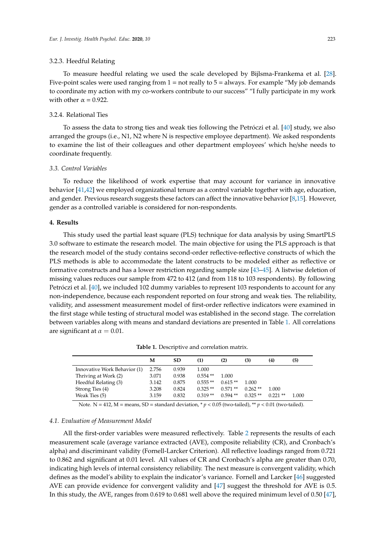#### 3.2.3. Heedful Relating

To measure heedful relating we used the scale developed by Bijlsma-Frankema et al. [\[28\]](#page-12-9). Five-point scales were used ranging from  $1 =$  not really to  $5 =$  always. For example "My job demands" to coordinate my action with my co-workers contribute to our success" "I fully participate in my work with other  $\alpha = 0.922$ .

# 3.2.4. Relational Ties

To assess the data to strong ties and weak ties following the Petróczi et al. [\[40\]](#page-12-21) study, we also arranged the groups (i.e., N1, N2 where N is respective employee department). We asked respondents to examine the list of their colleagues and other department employees' which he/she needs to coordinate frequently.

# *3.3. Control Variables*

To reduce the likelihood of work expertise that may account for variance in innovative behavior [\[41](#page-12-22)[,42\]](#page-12-23) we employed organizational tenure as a control variable together with age, education, and gender. Previous research suggests these factors can affect the innovative behavior [\[8,](#page-11-6)[15\]](#page-11-13). However, gender as a controlled variable is considered for non-respondents.

#### **4. Results**

This study used the partial least square (PLS) technique for data analysis by using SmartPLS 3.0 software to estimate the research model. The main objective for using the PLS approach is that the research model of the study contains second-order reflective-reflective constructs of which the PLS methods is able to accommodate the latent constructs to be modeled either as reflective or formative constructs and has a lower restriction regarding sample size [\[43](#page-12-24)[–45\]](#page-13-0). A listwise deletion of missing values reduces our sample from 472 to 412 (and from 118 to 103 respondents). By following Petróczi et al. [\[40\]](#page-12-21), we included 102 dummy variables to represent 103 respondents to account for any non-independence, because each respondent reported on four strong and weak ties. The reliability, validity, and assessment measurement model of first-order reflective indicators were examined in the first stage while testing of structural model was established in the second stage. The correlation between variables along with means and standard deviations are presented in Table [1.](#page-5-0) All correlations are significant at  $\alpha = 0.01$ .

<span id="page-5-0"></span>

|                              | M     | <b>SD</b> | (1)       | (2)       | (3)       | (4)        | (5)   |
|------------------------------|-------|-----------|-----------|-----------|-----------|------------|-------|
| Innovative Work Behavior (1) | 2.756 | 0.939     | 1.000     |           |           |            |       |
| Thriving at Work (2)         | 3.071 | 0.938     | $0.554**$ | 1.000     |           |            |       |
| Heedful Relating (3)         | 3.142 | 0.875     | $0.555**$ | $0.615**$ | 1.000     |            |       |
| Strong Ties (4)              | 3.208 | 0.824     | $0.325**$ | $0.571**$ | $0.262**$ | 1.000      |       |
| Weak Ties (5)                | 3.159 | 0.832     | $0.319**$ | $0.594**$ | $0.325**$ | $0.221$ ** | 1.000 |
|                              |       |           |           |           |           |            |       |

**Table 1.** Descriptive and correlation matrix.

Note. N = 412, M = means, SD = standard deviation,  $\gamma p < 0.05$  (two-tailed),  $\gamma p < 0.01$  (two-tailed).

# *4.1. Evaluation of Measurement Model*

All the first-order variables were measured reflectively. Table [2](#page-6-0) represents the results of each measurement scale (average variance extracted (AVE), composite reliability (CR), and Cronbach's alpha) and discriminant validity (Fornell-Larcker Criterion). All reflective loadings ranged from 0.721 to 0.862 and significant at 0.01 level. All values of CR and Cronbach's alpha are greater than 0.70, indicating high levels of internal consistency reliability. The next measure is convergent validity, which defines as the model's ability to explain the indicator's variance. Fornell and Larcker [\[46\]](#page-13-1) suggested AVE can provide evidence for convergent validity and [\[47\]](#page-13-2) suggest the threshold for AVE is 0.5. In this study, the AVE, ranges from 0.619 to 0.681 well above the required minimum level of 0.50 [\[47\]](#page-13-2),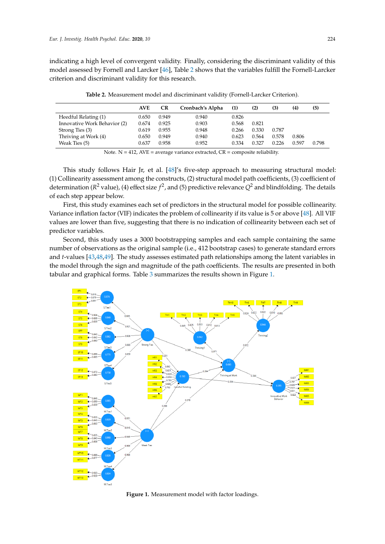indicating a high level of convergent validity. Finally, considering the discriminant validity of this model assessed by Fornell and Larcker [\[46\]](#page-13-1), Table [2](#page-6-0) shows that the variables fulfill the Fornell-Larcker criterion and discriminant validity for this research.

<span id="page-6-0"></span>

|                              | <b>AVE</b> | CR    | Cronbach's Alpha | (1)   | (2)   | (3)   | (4)   | (5)   |
|------------------------------|------------|-------|------------------|-------|-------|-------|-------|-------|
| Heedful Relating (1)         | 0.650      | 0.949 | 0.940            | 0.826 |       |       |       |       |
| Innovative Work Behavior (2) | 0.674      | 0.925 | 0.903            | 0.568 | 0.821 |       |       |       |
| Strong Ties (3)              | 0.619      | 0.955 | 0.948            | 0.266 | 0.330 | 0.787 |       |       |
| Thriving at Work (4)         | 0.650      | 0.949 | 0.940            | 0.623 | 0.564 | 0.578 | 0.806 |       |
| Weak Ties (5)                | 0.637      | 0.958 | 0.952            | 0.334 | 0.327 | 0.226 | 0.597 | 0.798 |

**Table 2.** Measurement model and discriminant validity (Fornell-Larcker Criterion).

Note.  $N = 412$ ,  $AVE = average variance extracted$ ,  $CR = composite reliability$ .

This study follows Hair Jr, et al. [\[48\]](#page-13-3)'s five-step approach to measuring structural model: (1) Collinearity assessment among the constructs, (2) structural model path coefficients, (3) coefficient of determination ( $R^2$  value), (4) effect size  $f^2$ , and (5) predictive relevance  $Q^2$  and blindfolding. The details of each step appear below.

First, this study examines each set of predictors in the structural model for possible collinearity. Variance inflation factor (VIF) indicates the problem of collinearity if its value is 5 or above [\[48\]](#page-13-3). All VIF values are lower than five, suggesting that there is no indication of collinearity between each set of predictor variables.

Second, this study uses a 3000 bootstrapping samples and each sample containing the same number of observations as the original sample (i.e., 412 bootstrap cases) to generate standard errors and *t*-values [\[43](#page-12-24)[,48](#page-13-3)[,49\]](#page-13-4). The study assesses estimated path relationships among the latent variables in the model through the sign and magnitude of the path coefficients. The results are presented in both tabular and graphical forms. Table [3](#page-7-0) summarizes the results shown in Figure [1.](#page-6-1)

<span id="page-6-1"></span>

**Figure 1.** Measurement model with factor loadings. **Figure 1.** Measurement model with factor loadings.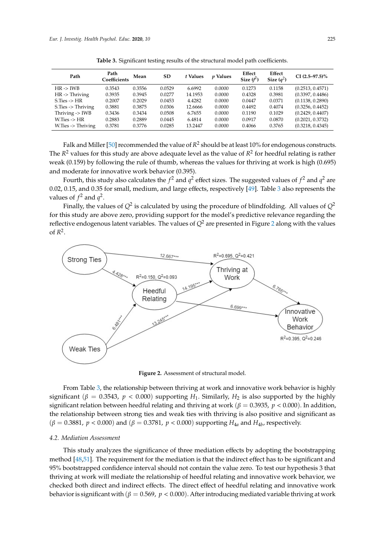<span id="page-7-0"></span>

| Path                          | Path<br>Coefficients | Mean   | <b>SD</b> | t Values | <i>v</i> Values | Effect<br>Size $(f^2)$ | Effect<br>Size $(a^2)$ | $CI(2.5-97.5)\%$ |
|-------------------------------|----------------------|--------|-----------|----------|-----------------|------------------------|------------------------|------------------|
| $HR \rightarrow IWB$          | 0.3543               | 0.3556 | 0.0529    | 6.6992   | 0.0000          | 0.1273                 | 0.1158                 | (0.2513, 0.4571) |
| $HR \rightarrow Thriving$     | 0.3935               | 0.3945 | 0.0277    | 14.1953  | 0.0000          | 0.4328                 | 0.3981                 | (0.3397, 0.4486) |
| $S.Ties$ -> $HR$              | 0.2007               | 0.2029 | 0.0453    | 4.4282   | 0.0000          | 0.0447                 | 0.0371                 | (0.1138, 0.2890) |
| $S.Ties \rightarrow Thriving$ | 0.3881               | 0.3875 | 0.0306    | 12.6666  | 0.0000          | 0.4492                 | 0.4074                 | (0.3256, 0.4452) |
| Thriving $\rightarrow$ IWB    | 0.3436               | 0.3434 | 0.0508    | 6.7655   | 0.0000          | 0.1190                 | 0.1029                 | (0.2429, 0.4407) |
| $W.Ties \rightarrow HR$       | 0.2883               | 0.2889 | 0.0445    | 6.4814   | 0.0000          | 0.0917                 | 0.0870                 | (0.2021, 0.3732) |
| W.Ties $\rightarrow$ Thriving | 0.3781               | 0.3776 | 0.0285    | 13.2447  | 0.0000          | 0.4066                 | 0.3765                 | (0.3218, 0.4345) |

**Table 3.** Significant testing results of the structural model path coefficients.

Falk and Miller [\[50\]](#page-13-5) recommended the value of  $R^2$  should be at least 10% for endogenous constructs. The  $R^2$  values for this study are above adequate level as the value of  $R^2$  for heedful relating is rather weak (0.159) by following the rule of thumb, whereas the values for thriving at work is high (0.695) and moderate for innovative work behavior (0.395).

Fourth, this study also calculates the  $f^2$  and  $q^2$  effect sizes. The suggested values of  $f^2$  and  $q^2$  are 0.02, 0.15, and 0.35 for small, medium, and large effects, respectively [\[49\]](#page-13-4). Table [3](#page-7-0) also represents the values of  $f^2$  and  $q^2$ .

Finally, the values of  $Q^2$  is calculated by using the procedure of blindfolding. All values of  $Q^2$ for this study are above zero, providing support for the model's predictive relevance regarding the reflective endogenous latent variables. The values of  $Q^2$  $Q^2$  are presented in Figure 2 along with the values of  $R^2$ .

<span id="page-7-1"></span>

**Figure 2.** Assessment of structural model. **Figure 2.** Assessment of structural model.

 $4.4$  significant ( $\beta = 0.3543$ ,  $p < 0.000$ ) supporting  $H_1$ . Similarly,  $H_2$  is also supported by the highly significant relation between heedful relating and thriving at work ( $\beta = 0.3935$ ,  $p < 0.000$ ). In addition, the relationship between strong ties and weak ties with thriving is also positive and significant as  $(\beta = 0.3881, p < 0.000)$  and  $(\beta = 0.3781, p < 0.000)$  supporting  $H_{4a}$  and  $H_{4b}$ , respectively. From Table [3,](#page-7-0) the relationship between thriving at work and innovative work behavior is highly

# checked both direct and indirect effects. The direct effect of heedful relating and innovative work *4.2. Mediation Assessment*

This study analyzes the significance of three mediation effects by adopting the bootstrapping method [\[48,](#page-13-3)[51\]](#page-13-6). The requirement for the mediation is that the indirect effect has to be significant and 95% bootstrapped confidence interval should not contain the value zero. To test our hypothesis 3 that thriving at work will mediate the relationship of heedful relating and innovative work behavior, we checked both direct and indirect effects. The direct effect of heedful relating and innovative work behavior is significant with ( $\beta = 0.569$ ,  $p < 0.000$ ). After introducing mediated variable thriving at work value zero in between which also indicates the existence of mediation and supports ଷ. Similarly,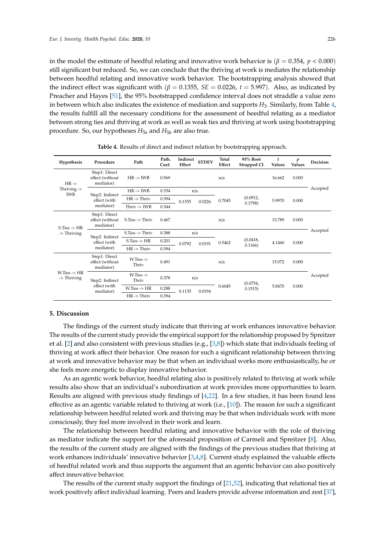in the model the estimate of heedful relating and innovative work behavior is ( $\beta = 0.354$ ,  $p < 0.000$ ) still significant but reduced. So, we can conclude that the thriving at work is mediates the relationship between heedful relating and innovative work behavior. The bootstrapping analysis showed that the indirect effect was significant with ( $\beta = 0.1355$ ,  $SE = 0.0226$ ,  $t = 5.997$ ). Also, as indicated by Preacher and Hayes [\[51\]](#page-13-6), the 95% bootstrapped confidence interval does not straddle a value zero in between which also indicates the existence of mediation and supports *H*3. Similarly, from Table [4,](#page-8-0) the results fulfill all the necessary conditions for the assessment of heedful relating as a mediator between strong ties and thriving at work as well as weak ties and thriving at work using bootstrapping procedure. So, our hypotheses  $H_{5a}$  and  $H_{5b}$  are also true.

<span id="page-8-0"></span>

| Hypothesis                                     | Procedure                                     | Path                       | Path.<br>Coef. | Indirect<br>Effect | <b>STDEV</b>     | Total<br>Effect | 95% Boot<br>Strapped CI | t<br><b>Values</b> | $\boldsymbol{p}$<br><b>Values</b> | <b>Decision</b> |
|------------------------------------------------|-----------------------------------------------|----------------------------|----------------|--------------------|------------------|-----------------|-------------------------|--------------------|-----------------------------------|-----------------|
| $HR -$<br>Thriving $\rightarrow$<br><b>IWB</b> | Step1: Direct<br>effect (without<br>mediator) | $HR \rightarrow IWB$       | 0.569          |                    |                  | n/a             |                         | 16.662             | 0.000                             |                 |
|                                                | Step2: Indirect<br>effect (with<br>mediator)  | $HR \rightarrow IWB$       | 0.354          | n/a                |                  |                 |                         |                    |                                   | Accepted        |
|                                                |                                               | $HR \rightarrow Thriv$     | 0.394          | 0.1355             | 0.0226           | 0.7045          | (0.0912,<br>0.1798      | 5.9970             | 0.000                             |                 |
|                                                |                                               | Thriv $\rightarrow$ IWB    | 0.344          |                    |                  |                 |                         |                    |                                   |                 |
| $S.Ties$ -> $HR$<br>-> Thriving                | Step1: Direct<br>effect (without<br>mediator) | $S.Ties \rightarrow Thriv$ | 0.467          |                    |                  | n/a             |                         | 13.789             | 0.000                             |                 |
|                                                | Step2: Indirect<br>effect (with<br>mediator)  | $S.Ties \rightarrow Thriv$ | 0.388          | n/a                |                  |                 |                         |                    |                                   | Accepted        |
|                                                |                                               | $S.Ties$ -> $HR$           | 0.201          |                    | 0.0792<br>0.0191 | 0.5462          | (0.0418,<br>0.1166      | 4.1460             | 0.000                             |                 |
|                                                |                                               | $HR \rightarrow Thriv$     | 0.394          |                    |                  |                 |                         |                    |                                   |                 |
| $W.Ties - > HR$<br>-> Thriving                 | Step1: Direct<br>effect (without<br>mediator) | $W.Ties$ -><br>Thriv       | 0.491          |                    |                  | n/a             |                         | 15.072             | 0.000                             |                 |
|                                                | Step2: Indirect<br>effect (with<br>mediator)  | $W.Ties$ -><br>Thriv       | 0.378          |                    | n/a              |                 | (0.0754,                |                    |                                   | Accepted        |
|                                                |                                               | W.Ties -> HR               | 0.288          | 0.1135             | 0.0194           | 0.6045          | 0.1515                  | 5.8470             | 0.000                             |                 |
|                                                |                                               | $HR \rightarrow Thriv$     | 0.394          |                    |                  |                 |                         |                    |                                   |                 |

**Table 4.** Results of direct and indirect relation by bootstrapping approach.

# **5. Discussion**

The findings of the current study indicate that thriving at work enhances innovative behavior. The results of the current study provide the empirical support for the relationship proposed by Spreitzer et al. [\[2\]](#page-11-1) and also consistent with previous studies (e.g., [\[3,](#page-11-2)[8\]](#page-11-6)) which state that individuals feeling of thriving at work affect their behavior. One reason for such a significant relationship between thriving at work and innovative behavior may be that when an individual works more enthusiastically, he or she feels more energetic to display innovative behavior.

As an agentic work behavior, heedful relating also is positively related to thriving at work while results also show that an individual's subordination at work provides more opportunities to learn. Results are aligned with previous study findings of [\[4,](#page-11-3)[22\]](#page-12-3). In a few studies, it has been found less effective as an agentic variable related to thriving at work (i.e., [\[10\]](#page-11-8)). The reason for such a significant relationship between heedful related work and thriving may be that when individuals work with more consciously, they feel more involved in their work and learn.

The relationship between heedful relating and innovative behavior with the role of thriving as mediator indicate the support for the aforesaid proposition of Carmeli and Spreitzer [\[8\]](#page-11-6). Also, the results of the current study are aligned with the findings of the previous studies that thriving at work enhances individuals' innovative behavior [\[3](#page-11-2)[,4](#page-11-3)[,8\]](#page-11-6). Current study explained the valuable effects of heedful related work and thus supports the argument that an agentic behavior can also positively affect innovative behavior.

The results of the current study support the findings of [\[21](#page-12-2)[,52\]](#page-13-7), indicating that relational ties at work positively affect individual learning. Peers and leaders provide adverse information and zest [\[37\]](#page-12-18),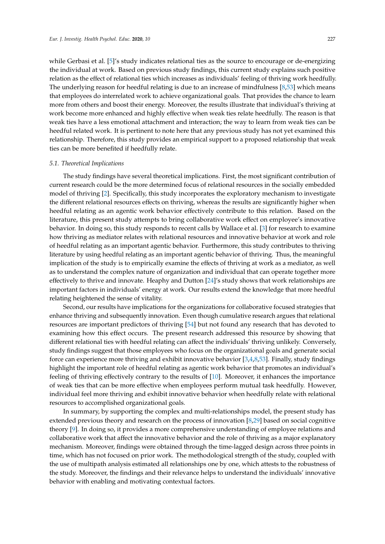while Gerbasi et al. [\[5\]](#page-11-4)'s study indicates relational ties as the source to encourage or de-energizing the individual at work. Based on previous study findings, this current study explains such positive relation as the effect of relational ties which increases as individuals' feeling of thriving work heedfully. The underlying reason for heedful relating is due to an increase of mindfulness [\[8,](#page-11-6)[53\]](#page-13-8) which means that employees do interrelated work to achieve organizational goals. That provides the chance to learn more from others and boost their energy. Moreover, the results illustrate that individual's thriving at work become more enhanced and highly effective when weak ties relate heedfully. The reason is that weak ties have a less emotional attachment and interaction; the way to learn from weak ties can be heedful related work. It is pertinent to note here that any previous study has not yet examined this relationship. Therefore, this study provides an empirical support to a proposed relationship that weak ties can be more benefited if heedfully relate.

# *5.1. Theoretical Implications*

The study findings have several theoretical implications. First, the most significant contribution of current research could be the more determined focus of relational resources in the socially embedded model of thriving [\[2\]](#page-11-1). Specifically, this study incorporates the exploratory mechanism to investigate the different relational resources effects on thriving, whereas the results are significantly higher when heedful relating as an agentic work behavior effectively contribute to this relation. Based on the literature, this present study attempts to bring collaborative work effect on employee's innovative behavior. In doing so, this study responds to recent calls by Wallace et al. [\[3\]](#page-11-2) for research to examine how thriving as mediator relates with relational resources and innovative behavior at work and role of heedful relating as an important agentic behavior. Furthermore, this study contributes to thriving literature by using heedful relating as an important agentic behavior of thriving. Thus, the meaningful implication of the study is to empirically examine the effects of thriving at work as a mediator, as well as to understand the complex nature of organization and individual that can operate together more effectively to thrive and innovate. Heaphy and Dutton [\[24\]](#page-12-5)'s study shows that work relationships are important factors in individuals' energy at work. Our results extend the knowledge that more heedful relating heightened the sense of vitality.

Second, our results have implications for the organizations for collaborative focused strategies that enhance thriving and subsequently innovation. Even though cumulative research argues that relational resources are important predictors of thriving [\[54\]](#page-13-9) but not found any research that has devoted to examining how this effect occurs. The present research addressed this resource by showing that different relational ties with heedful relating can affect the individuals' thriving unlikely. Conversely, study findings suggest that those employees who focus on the organizational goals and generate social force can experience more thriving and exhibit innovative behavior [\[3](#page-11-2)[,4](#page-11-3)[,8](#page-11-6)[,53\]](#page-13-8). Finally, study findings highlight the important role of heedful relating as agentic work behavior that promotes an individual's feeling of thriving effectively contrary to the results of [\[10\]](#page-11-8). Moreover, it enhances the importance of weak ties that can be more effective when employees perform mutual task heedfully. However, individual feel more thriving and exhibit innovative behavior when heedfully relate with relational resources to accomplished organizational goals.

In summary, by supporting the complex and multi-relationships model, the present study has extended previous theory and research on the process of innovation [\[8](#page-11-6)[,29\]](#page-12-10) based on social cognitive theory [\[9\]](#page-11-7). In doing so, it provides a more comprehensive understanding of employee relations and collaborative work that affect the innovative behavior and the role of thriving as a major explanatory mechanism. Moreover, findings were obtained through the time-lagged design across three points in time, which has not focused on prior work. The methodological strength of the study, coupled with the use of multipath analysis estimated all relationships one by one, which attests to the robustness of the study. Moreover, the findings and their relevance helps to understand the individuals' innovative behavior with enabling and motivating contextual factors.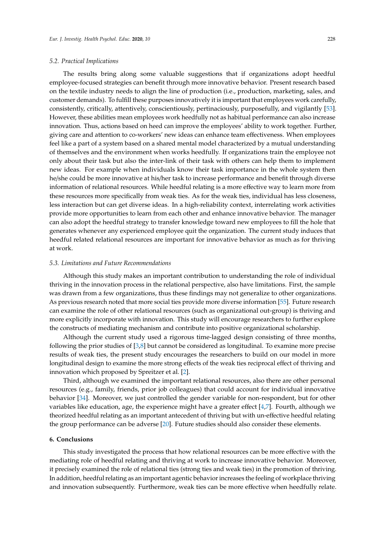The results bring along some valuable suggestions that if organizations adopt heedful employee-focused strategies can benefit through more innovative behavior. Present research based on the textile industry needs to align the line of production (i.e., production, marketing, sales, and customer demands). To fulfill these purposes innovatively it is important that employees work carefully, consistently, critically, attentively, conscientiously, pertinaciously, purposefully, and vigilantly [\[53\]](#page-13-8). However, these abilities mean employees work heedfully not as habitual performance can also increase innovation. Thus, actions based on heed can improve the employees' ability to work together. Further, giving care and attention to co-workers' new ideas can enhance team effectiveness. When employees feel like a part of a system based on a shared mental model characterized by a mutual understanding of themselves and the environment when works heedfully. If organizations train the employee not only about their task but also the inter-link of their task with others can help them to implement new ideas. For example when individuals know their task importance in the whole system then he/she could be more innovative at his/her task to increase performance and benefit through diverse information of relational resources. While heedful relating is a more effective way to learn more from these resources more specifically from weak ties. As for the weak ties, individual has less closeness, less interaction but can get diverse ideas. In a high-reliability context, interrelating work activities provide more opportunities to learn from each other and enhance innovative behavior. The manager can also adopt the heedful strategy to transfer knowledge toward new employees to fill the hole that generates whenever any experienced employee quit the organization. The current study induces that heedful related relational resources are important for innovative behavior as much as for thriving at work.

#### *5.3. Limitations and Future Recommendations*

Although this study makes an important contribution to understanding the role of individual thriving in the innovation process in the relational perspective, also have limitations. First, the sample was drawn from a few organizations, thus these findings may not generalize to other organizations. As previous research noted that more social ties provide more diverse information [\[55\]](#page-13-10). Future research can examine the role of other relational resources (such as organizational out-group) is thriving and more explicitly incorporate with innovation. This study will encourage researchers to further explore the constructs of mediating mechanism and contribute into positive organizational scholarship.

Although the current study used a rigorous time-lagged design consisting of three months, following the prior studies of [\[3,](#page-11-2)[8\]](#page-11-6) but cannot be considered as longitudinal. To examine more precise results of weak ties, the present study encourages the researchers to build on our model in more longitudinal design to examine the more strong effects of the weak ties reciprocal effect of thriving and innovation which proposed by Spreitzer et al. [\[2\]](#page-11-1).

Third, although we examined the important relational resources, also there are other personal resources (e.g., family, friends, prior job colleagues) that could account for individual innovative behavior [\[34\]](#page-12-15). Moreover, we just controlled the gender variable for non-respondent, but for other variables like education, age, the experience might have a greater effect [\[4](#page-11-3)[,7\]](#page-11-5). Fourth, although we theorized heedful relating as an important antecedent of thriving but with un-effective heedful relating the group performance can be adverse [\[20\]](#page-12-1). Future studies should also consider these elements.

#### **6. Conclusions**

This study investigated the process that how relational resources can be more effective with the mediating role of heedful relating and thriving at work to increase innovative behavior. Moreover, it precisely examined the role of relational ties (strong ties and weak ties) in the promotion of thriving. In addition, heedful relating as an important agentic behavior increases the feeling of workplace thriving and innovation subsequently. Furthermore, weak ties can be more effective when heedfully relate.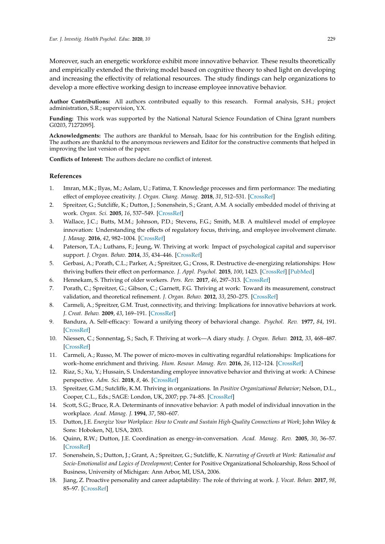Moreover, such an energetic workforce exhibit more innovative behavior. These results theoretically and empirically extended the thriving model based on cognitive theory to shed light on developing and increasing the effectivity of relational resources. The study findings can help organizations to develop a more effective working design to increase employee innovative behavior.

**Author Contributions:** All authors contributed equally to this research. Formal analysis, S.H.; project administration, S.R.; supervision, Y.X.

**Funding:** This work was supported by the National Natural Science Foundation of China [grant numbers G0203, 71272095].

**Acknowledgments:** The authors are thankful to Mensah, Isaac for his contribution for the English editing. The authors are thankful to the anonymous reviewers and Editor for the constructive comments that helped in improving the last version of the paper.

**Conflicts of Interest:** The authors declare no conflict of interest.

# **References**

- <span id="page-11-0"></span>1. Imran, M.K.; Ilyas, M.; Aslam, U.; Fatima, T. Knowledge processes and firm performance: The mediating effect of employee creativity. *J. Organ. Chang. Manag.* **2018**, *31*, 512–531. [\[CrossRef\]](http://dx.doi.org/10.1108/JOCM-10-2016-0202)
- <span id="page-11-1"></span>2. Spreitzer, G.; Sutcliffe, K.; Dutton, J.; Sonenshein, S.; Grant, A.M. A socially embedded model of thriving at work. *Organ. Sci.* **2005**, *16*, 537–549. [\[CrossRef\]](http://dx.doi.org/10.1287/orsc.1050.0153)
- <span id="page-11-2"></span>3. Wallace, J.C.; Butts, M.M.; Johnson, P.D.; Stevens, F.G.; Smith, M.B. A multilevel model of employee innovation: Understanding the effects of regulatory focus, thriving, and employee involvement climate. *J. Manag.* **2016**, *42*, 982–1004. [\[CrossRef\]](http://dx.doi.org/10.1177/0149206313506462)
- <span id="page-11-3"></span>4. Paterson, T.A.; Luthans, F.; Jeung, W. Thriving at work: Impact of psychological capital and supervisor support. *J. Organ. Behav.* **2014**, *35*, 434–446. [\[CrossRef\]](http://dx.doi.org/10.1002/job.1907)
- <span id="page-11-4"></span>5. Gerbasi, A.; Porath, C.L.; Parker, A.; Spreitzer, G.; Cross, R. Destructive de-energizing relationships: How thriving buffers their effect on performance. *J. Appl. Psychol.* **2015**, *100*, 1423. [\[CrossRef\]](http://dx.doi.org/10.1037/apl0000015) [\[PubMed\]](http://www.ncbi.nlm.nih.gov/pubmed/25798553)
- 6. Hennekam, S. Thriving of older workers. *Pers. Rev.* **2017**, *46*, 297–313. [\[CrossRef\]](http://dx.doi.org/10.1108/PR-07-2015-0195)
- <span id="page-11-5"></span>7. Porath, C.; Spreitzer, G.; Gibson, C.; Garnett, F.G. Thriving at work: Toward its measurement, construct validation, and theoretical refinement. *J. Organ. Behav.* **2012**, *33*, 250–275. [\[CrossRef\]](http://dx.doi.org/10.1002/job.756)
- <span id="page-11-6"></span>8. Carmeli, A.; Spreitzer, G.M. Trust, connectivity, and thriving: Implications for innovative behaviors at work. *J. Creat. Behav.* **2009**, *43*, 169–191. [\[CrossRef\]](http://dx.doi.org/10.1002/j.2162-6057.2009.tb01313.x)
- <span id="page-11-7"></span>9. Bandura, A. Self-efficacy: Toward a unifying theory of behavioral change. *Psychol. Rev.* **1977**, *84*, 191. [\[CrossRef\]](http://dx.doi.org/10.1037/0033-295X.84.2.191)
- <span id="page-11-8"></span>10. Niessen, C.; Sonnentag, S.; Sach, F. Thriving at work—A diary study. *J. Organ. Behav.* **2012**, *33*, 468–487. [\[CrossRef\]](http://dx.doi.org/10.1002/job.763)
- <span id="page-11-9"></span>11. Carmeli, A.; Russo, M. The power of micro-moves in cultivating regardful relationships: Implications for work–home enrichment and thriving. *Hum. Resour. Manag. Rev.* **2016**, *26*, 112–124. [\[CrossRef\]](http://dx.doi.org/10.1016/j.hrmr.2015.09.007)
- <span id="page-11-10"></span>12. Riaz, S.; Xu, Y.; Hussain, S. Understanding employee innovative behavior and thriving at work: A Chinese perspective. *Adm. Sci.* **2018**, *8*, 46. [\[CrossRef\]](http://dx.doi.org/10.3390/admsci8030046)
- <span id="page-11-11"></span>13. Spreitzer, G.M.; Sutcliffe, K.M. Thriving in organizations. In *Positive Organizational Behavior*; Nelson, D.L., Cooper, C.L., Eds.; SAGE: London, UK, 2007; pp. 74–85. [\[CrossRef\]](http://dx.doi.org/10.4135/9781446212752.n6)
- <span id="page-11-12"></span>14. Scott, S.G.; Bruce, R.A. Determinants of innovative behavior: A path model of individual innovation in the workplace. *Acad. Manag. J.* **1994**, *37*, 580–607.
- <span id="page-11-13"></span>15. Dutton, J.E. *Energize Your Workplace: How to Create and Sustain High-Quality Connections at Work*; John Wiley & Sons: Hoboken, NJ, USA, 2003.
- <span id="page-11-14"></span>16. Quinn, R.W.; Dutton, J.E. Coordination as energy-in-conversation. *Acad. Manag. Rev.* **2005**, *30*, 36–57. [\[CrossRef\]](http://dx.doi.org/10.5465/amr.2005.15281422)
- <span id="page-11-15"></span>17. Sonenshein, S.; Dutton, J.; Grant, A.; Spreitzer, G.; Sutcliffe, K. *Narrating of Growth at Work: Rationalist and Socio-Emotionalist and Logics of Development*; Center for Positive Organizational Scholoarship, Ross School of Business, University of Michigan: Ann Arbor, MI, USA, 2006.
- <span id="page-11-16"></span>18. Jiang, Z. Proactive personality and career adaptability: The role of thriving at work. *J. Vocat. Behav.* **2017**, *98*, 85–97. [\[CrossRef\]](http://dx.doi.org/10.1016/j.jvb.2016.10.003)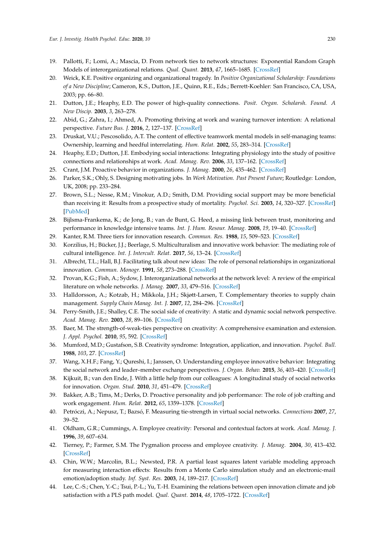- <span id="page-12-0"></span>19. Pallotti, F.; Lomi, A.; Mascia, D. From network ties to network structures: Exponential Random Graph Models of interorganizational relations. *Qual. Quant.* **2013**, *47*, 1665–1685. [\[CrossRef\]](http://dx.doi.org/10.1007/s11135-011-9619-6)
- <span id="page-12-1"></span>20. Weick, K.E. Positive organizing and organizational tragedy. In *Positive Organizational Scholarship: Foundations of a New Discipline*; Cameron, K.S., Dutton, J.E., Quinn, R.E., Eds.; Berrett-Koehler: San Francisco, CA, USA, 2003; pp. 66–80.
- <span id="page-12-2"></span>21. Dutton, J.E.; Heaphy, E.D. The power of high-quality connections. *Posit. Organ. Scholarsh. Found. A New Discip.* **2003**, *3*, 263–278.
- <span id="page-12-3"></span>22. Abid, G.; Zahra, I.; Ahmed, A. Promoting thriving at work and waning turnover intention: A relational perspective. *Future Bus. J.* **2016**, *2*, 127–137. [\[CrossRef\]](http://dx.doi.org/10.1016/j.fbj.2016.08.001)
- <span id="page-12-4"></span>23. Druskat, V.U.; Pescosolido, A.T. The content of effective teamwork mental models in self-managing teams: Ownership, learning and heedful interrelating. *Hum. Relat.* **2002**, *55*, 283–314. [\[CrossRef\]](http://dx.doi.org/10.1177/0018726702553001)
- <span id="page-12-5"></span>24. Heaphy, E.D.; Dutton, J.E. Embodying social interactions: Integrating physiology into the study of positive connections and relationships at work. *Acad. Manag. Rev.* **2006**, *33*, 137–162. [\[CrossRef\]](http://dx.doi.org/10.5465/amr.2008.27749365)
- <span id="page-12-6"></span>25. Crant, J.M. Proactive behavior in organizations. *J. Manag.* **2000**, *26*, 435–462. [\[CrossRef\]](http://dx.doi.org/10.1177/014920630002600304)
- <span id="page-12-7"></span>26. Parker, S.K.; Ohly, S. Designing motivating jobs. In *Work Motivation. Past Present Future*; Routledge: London, UK, 2008; pp. 233–284.
- <span id="page-12-8"></span>27. Brown, S.L.; Nesse, R.M.; Vinokur, A.D.; Smith, D.M. Providing social support may be more beneficial than receiving it: Results from a prospective study of mortality. *Psychol. Sci.* **2003**, *14*, 320–327. [\[CrossRef\]](http://dx.doi.org/10.1111/1467-9280.14461) [\[PubMed\]](http://www.ncbi.nlm.nih.gov/pubmed/12807404)
- <span id="page-12-9"></span>28. Bijlsma-Frankema, K.; de Jong, B.; van de Bunt, G. Heed, a missing link between trust, monitoring and performance in knowledge intensive teams. *Int. J. Hum. Resour. Manag.* **2008**, *19*, 19–40. [\[CrossRef\]](http://dx.doi.org/10.1080/09585190701763800)
- <span id="page-12-10"></span>29. Kanter, R.M. Three tiers for innovation research. *Commun. Res.* **1988**, *15*, 509–523. [\[CrossRef\]](http://dx.doi.org/10.1177/009365088015005001)
- <span id="page-12-11"></span>30. Korzilius, H.; Bücker, J.J.; Beerlage, S. Multiculturalism and innovative work behavior: The mediating role of cultural intelligence. *Int. J. Intercult. Relat.* **2017**, *56*, 13–24. [\[CrossRef\]](http://dx.doi.org/10.1016/j.ijintrel.2016.11.001)
- <span id="page-12-12"></span>31. Albrecht, T.L.; Hall, B.J. Facilitating talk about new ideas: The role of personal relationships in organizational innovation. *Commun. Monogr.* **1991**, *58*, 273–288. [\[CrossRef\]](http://dx.doi.org/10.1080/03637759109376230)
- <span id="page-12-13"></span>32. Provan, K.G.; Fish, A.; Sydow, J. Interorganizational networks at the network level: A review of the empirical literature on whole networks. *J. Manag.* **2007**, *33*, 479–516. [\[CrossRef\]](http://dx.doi.org/10.1177/0149206307302554)
- <span id="page-12-14"></span>33. Halldorsson, A.; Kotzab, H.; Mikkola, J.H.; Skjøtt-Larsen, T. Complementary theories to supply chain management. *Supply Chain Manag. Int. J.* **2007**, *12*, 284–296. [\[CrossRef\]](http://dx.doi.org/10.1108/13598540710759808)
- <span id="page-12-15"></span>34. Perry-Smith, J.E.; Shalley, C.E. The social side of creativity: A static and dynamic social network perspective. *Acad. Manag. Rev.* **2003**, *28*, 89–106. [\[CrossRef\]](http://dx.doi.org/10.5465/amr.2003.8925236)
- <span id="page-12-16"></span>35. Baer, M. The strength-of-weak-ties perspective on creativity: A comprehensive examination and extension. *J. Appl. Psychol.* **2010**, *95*, 592. [\[CrossRef\]](http://dx.doi.org/10.1037/a0018761)
- <span id="page-12-17"></span>36. Mumford, M.D.; Gustafson, S.B. Creativity syndrome: Integration, application, and innovation. *Psychol. Bull.* **1988**, *103*, 27. [\[CrossRef\]](http://dx.doi.org/10.1037/0033-2909.103.1.27)
- <span id="page-12-18"></span>37. Wang, X.H.F.; Fang, Y.; Qureshi, I.; Janssen, O. Understanding employee innovative behavior: Integrating the social network and leader–member exchange perspectives. *J. Organ. Behav.* **2015**, *36*, 403–420. [\[CrossRef\]](http://dx.doi.org/10.1002/job.1994)
- <span id="page-12-19"></span>38. Kijkuit, B.; van den Ende, J. With a little help from our colleagues: A longitudinal study of social networks for innovation. *Organ. Stud.* **2010**, *31*, 451–479. [\[CrossRef\]](http://dx.doi.org/10.1177/0170840609357398)
- <span id="page-12-20"></span>39. Bakker, A.B.; Tims, M.; Derks, D. Proactive personality and job performance: The role of job crafting and work engagement. *Hum. Relat.* **2012**, *65*, 1359–1378. [\[CrossRef\]](http://dx.doi.org/10.1177/0018726712453471)
- <span id="page-12-21"></span>40. Petróczi, A.; Nepusz, T.; Bazsó, F. Measuring tie-strength in virtual social networks. *Connections* **2007**, *27*, 39–52.
- <span id="page-12-22"></span>41. Oldham, G.R.; Cummings, A. Employee creativity: Personal and contextual factors at work. *Acad. Manag. J.* **1996**, *39*, 607–634.
- <span id="page-12-23"></span>42. Tierney, P.; Farmer, S.M. The Pygmalion process and employee creativity. *J. Manag.* **2004**, *30*, 413–432. [\[CrossRef\]](http://dx.doi.org/10.1016/j.jm.2002.12.001)
- <span id="page-12-24"></span>43. Chin, W.W.; Marcolin, B.L.; Newsted, P.R. A partial least squares latent variable modeling approach for measuring interaction effects: Results from a Monte Carlo simulation study and an electronic-mail emotion/adoption study. *Inf. Syst. Res.* **2003**, *14*, 189–217. [\[CrossRef\]](http://dx.doi.org/10.1287/isre.14.2.189.16018)
- 44. Lee, C.-S.; Chen, Y.-C.; Tsui, P.-L.; Yu, T.-H. Examining the relations between open innovation climate and job satisfaction with a PLS path model. *Qual. Quant.* **2014**, *48*, 1705–1722. [\[CrossRef\]](http://dx.doi.org/10.1007/s11135-013-9869-6)